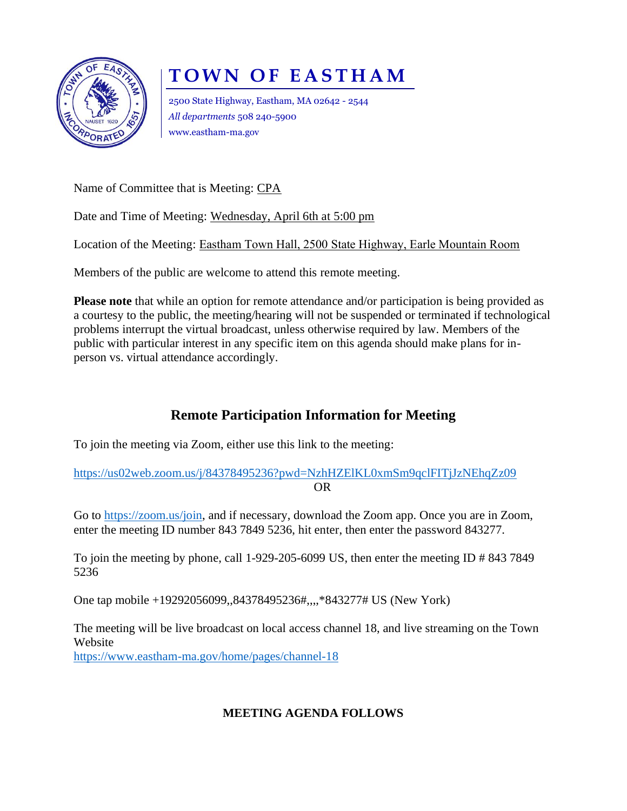

## **T O W N O F E A S T H A M**

2500 State Highway, Eastham, MA 02642 - 2544 *All departments* 508 240-5900 www.eastham-ma.gov

Name of Committee that is Meeting: CPA

Date and Time of Meeting: Wednesday, April 6th at 5:00 pm

Location of the Meeting: Eastham Town Hall, 2500 State Highway, Earle Mountain Room

Members of the public are welcome to attend this remote meeting.

**Please note** that while an option for remote attendance and/or participation is being provided as a courtesy to the public, the meeting/hearing will not be suspended or terminated if technological problems interrupt the virtual broadcast, unless otherwise required by law. Members of the public with particular interest in any specific item on this agenda should make plans for inperson vs. virtual attendance accordingly.

## **Remote Participation Information for Meeting**

To join the meeting via Zoom, either use this link to the meeting:

<https://us02web.zoom.us/j/84378495236?pwd=NzhHZElKL0xmSm9qclFITjJzNEhqZz09> OR

Go to [https://zoom.us/join,](https://zoom.us/join) and if necessary, download the Zoom app. Once you are in Zoom, enter the meeting ID number 843 7849 5236, hit enter, then enter the password 843277.

To join the meeting by phone, call 1-929-205-6099 US, then enter the meeting ID # 843 7849 5236

One tap mobile +19292056099,,84378495236#,,,,\*843277# US (New York)

The meeting will be live broadcast on local access channel 18, and live streaming on the Town Website <https://www.eastham-ma.gov/home/pages/channel-18>

## **MEETING AGENDA FOLLOWS**